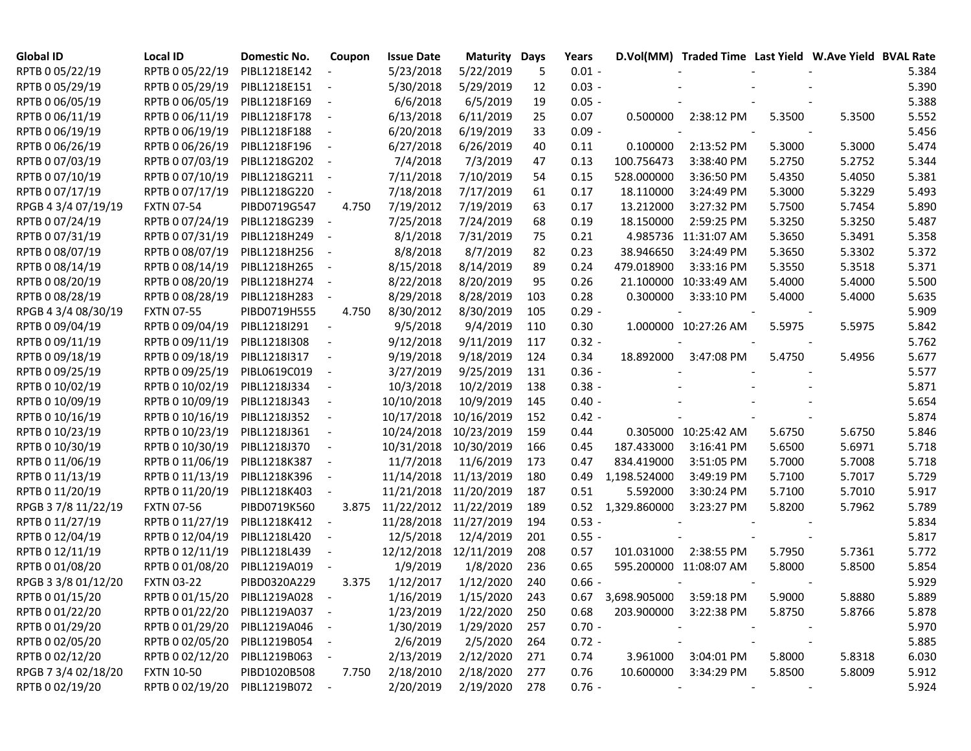| <b>Global ID</b>    | Local ID                       | <b>Domestic No.</b> | Coupon                   | <b>Issue Date</b> | <b>Maturity Days</b> |     | Years    |                              | D.Vol(MM) Traded Time Last Yield W.Ave Yield BVAL Rate |        |        |       |
|---------------------|--------------------------------|---------------------|--------------------------|-------------------|----------------------|-----|----------|------------------------------|--------------------------------------------------------|--------|--------|-------|
| RPTB 0 05/22/19     | RPTB 0 05/22/19                | PIBL1218E142        |                          | 5/23/2018         | 5/22/2019            | 5   | $0.01 -$ |                              |                                                        |        |        | 5.384 |
| RPTB 0 05/29/19     | RPTB 0 05/29/19                | PIBL1218E151        | $\sim$ $-$               | 5/30/2018         | 5/29/2019            | 12  | $0.03 -$ |                              |                                                        |        |        | 5.390 |
| RPTB 0 06/05/19     | RPTB 0 06/05/19                | PIBL1218F169        | $\sim$                   | 6/6/2018          | 6/5/2019             | 19  | $0.05 -$ |                              |                                                        |        |        | 5.388 |
| RPTB 0 06/11/19     | RPTB 0 06/11/19                | PIBL1218F178        | $\overline{\phantom{a}}$ | 6/13/2018         | 6/11/2019            | 25  | 0.07     | 0.500000                     | 2:38:12 PM                                             | 5.3500 | 5.3500 | 5.552 |
| RPTB 0 06/19/19     | RPTB 0 06/19/19                | PIBL1218F188        | $\sim$                   | 6/20/2018         | 6/19/2019            | 33  | $0.09 -$ |                              |                                                        |        |        | 5.456 |
| RPTB 0 06/26/19     | RPTB 0 06/26/19                | PIBL1218F196        | $\sim$                   | 6/27/2018         | 6/26/2019            | 40  | 0.11     | 0.100000                     | 2:13:52 PM                                             | 5.3000 | 5.3000 | 5.474 |
| RPTB 0 07/03/19     | RPTB 0 07/03/19                | PIBL1218G202        | $\sim$ $-$               | 7/4/2018          | 7/3/2019             | 47  | 0.13     | 100.756473                   | 3:38:40 PM                                             | 5.2750 | 5.2752 | 5.344 |
| RPTB 0 07/10/19     | RPTB 0 07/10/19                | PIBL1218G211 -      |                          | 7/11/2018         | 7/10/2019            | 54  | 0.15     | 528.000000                   | 3:36:50 PM                                             | 5.4350 | 5.4050 | 5.381 |
| RPTB 0 07/17/19     | RPTB 0 07/17/19                | PIBL1218G220        | $\overline{\phantom{a}}$ | 7/18/2018         | 7/17/2019            | 61  | 0.17     | 18.110000                    | 3:24:49 PM                                             | 5.3000 | 5.3229 | 5.493 |
| RPGB 4 3/4 07/19/19 | <b>FXTN 07-54</b>              | PIBD0719G547        | 4.750                    | 7/19/2012         | 7/19/2019            | 63  | 0.17     | 13.212000                    | 3:27:32 PM                                             | 5.7500 | 5.7454 | 5.890 |
| RPTB 0 07/24/19     | RPTB 0 07/24/19                | PIBL1218G239 -      |                          | 7/25/2018         | 7/24/2019            | 68  | 0.19     | 18.150000                    | 2:59:25 PM                                             | 5.3250 | 5.3250 | 5.487 |
| RPTB 0 07/31/19     | RPTB 0 07/31/19                | PIBL1218H249        | $\sim$ $-$               | 8/1/2018          | 7/31/2019            | 75  | 0.21     |                              | 4.985736 11:31:07 AM                                   | 5.3650 | 5.3491 | 5.358 |
| RPTB 0 08/07/19     | RPTB 0 08/07/19                | PIBL1218H256        | $\sim$ $-$               | 8/8/2018          | 8/7/2019             | 82  | 0.23     | 38.946650                    | 3:24:49 PM                                             | 5.3650 | 5.3302 | 5.372 |
| RPTB 0 08/14/19     | RPTB 0 08/14/19                | PIBL1218H265        | $\sim$                   | 8/15/2018         | 8/14/2019            | 89  | 0.24     | 479.018900                   | 3:33:16 PM                                             | 5.3550 | 5.3518 | 5.371 |
| RPTB 0 08/20/19     | RPTB 0 08/20/19                | PIBL1218H274        | $\sim$                   | 8/22/2018         | 8/20/2019            | 95  | 0.26     |                              | 21.100000 10:33:49 AM                                  | 5.4000 | 5.4000 | 5.500 |
| RPTB 0 08/28/19     | RPTB 0 08/28/19                | PIBL1218H283        | $\overline{\phantom{a}}$ | 8/29/2018         | 8/28/2019            | 103 | 0.28     | 0.300000                     | 3:33:10 PM                                             | 5.4000 | 5.4000 | 5.635 |
| RPGB 4 3/4 08/30/19 | <b>FXTN 07-55</b>              | PIBD0719H555        | 4.750                    | 8/30/2012         | 8/30/2019            | 105 | $0.29 -$ |                              |                                                        |        |        | 5.909 |
| RPTB 0 09/04/19     | RPTB 0 09/04/19                | PIBL1218I291        | $\sim$                   | 9/5/2018          | 9/4/2019             | 110 | 0.30     |                              | 1.000000 10:27:26 AM                                   | 5.5975 | 5.5975 | 5.842 |
| RPTB 0 09/11/19     | RPTB 0 09/11/19                | PIBL1218I308        | $\sim$                   | 9/12/2018         | 9/11/2019            | 117 | $0.32 -$ |                              |                                                        |        |        | 5.762 |
| RPTB 0 09/18/19     | RPTB 0 09/18/19                | PIBL1218I317        | $\overline{\phantom{a}}$ | 9/19/2018         | 9/18/2019            | 124 | 0.34     | 18.892000                    | 3:47:08 PM                                             | 5.4750 | 5.4956 | 5.677 |
| RPTB 0 09/25/19     | RPTB 0 09/25/19                | PIBL0619C019        | $\sim$                   | 3/27/2019         | 9/25/2019            | 131 | $0.36 -$ |                              |                                                        |        |        | 5.577 |
| RPTB 0 10/02/19     | RPTB 0 10/02/19                | PIBL1218J334        | $\sim$                   | 10/3/2018         | 10/2/2019            | 138 | $0.38 -$ |                              |                                                        |        |        | 5.871 |
| RPTB 0 10/09/19     | RPTB 0 10/09/19                | PIBL1218J343        | $\sim$ $-$               | 10/10/2018        | 10/9/2019            | 145 | $0.40 -$ |                              |                                                        |        |        | 5.654 |
| RPTB 0 10/16/19     | RPTB 0 10/16/19                | PIBL1218J352        | $\sim$ $-$               | 10/17/2018        | 10/16/2019           | 152 | $0.42 -$ |                              |                                                        |        |        | 5.874 |
| RPTB 0 10/23/19     | RPTB 0 10/23/19                | PIBL1218J361        | $\sim$ $-$               | 10/24/2018        | 10/23/2019           | 159 | 0.44     |                              | 0.305000 10:25:42 AM                                   | 5.6750 | 5.6750 | 5.846 |
| RPTB 0 10/30/19     | RPTB 0 10/30/19                | PIBL1218J370        | $\overline{\phantom{a}}$ | 10/31/2018        | 10/30/2019           | 166 | 0.45     | 187.433000                   | 3:16:41 PM                                             | 5.6500 | 5.6971 | 5.718 |
| RPTB 0 11/06/19     | RPTB 0 11/06/19                | PIBL1218K387        | $\sim$                   | 11/7/2018         | 11/6/2019            | 173 | 0.47     | 834.419000                   | 3:51:05 PM                                             | 5.7000 | 5.7008 | 5.718 |
| RPTB 0 11/13/19     | RPTB 0 11/13/19                | PIBL1218K396        |                          | 11/14/2018        | 11/13/2019           | 180 | 0.49     | 1,198.524000                 | 3:49:19 PM                                             | 5.7100 | 5.7017 | 5.729 |
| RPTB 0 11/20/19     | RPTB 0 11/20/19                | PIBL1218K403        |                          | 11/21/2018        | 11/20/2019           | 187 | 0.51     | 5.592000                     | 3:30:24 PM                                             | 5.7100 | 5.7010 | 5.917 |
| RPGB 37/8 11/22/19  | <b>FXTN 07-56</b>              | PIBD0719K560        | 3.875                    | 11/22/2012        | 11/22/2019           | 189 | 0.52     | 1,329.860000                 | 3:23:27 PM                                             | 5.8200 | 5.7962 | 5.789 |
| RPTB 0 11/27/19     | RPTB 0 11/27/19                | PIBL1218K412 -      |                          | 11/28/2018        | 11/27/2019           | 194 | $0.53 -$ |                              |                                                        |        |        | 5.834 |
| RPTB 0 12/04/19     | RPTB 0 12/04/19                | PIBL1218L420        | $\overline{\phantom{a}}$ | 12/5/2018         | 12/4/2019            | 201 | $0.55 -$ |                              |                                                        |        |        | 5.817 |
| RPTB 0 12/11/19     | RPTB 0 12/11/19                | PIBL1218L439        | $\overline{\phantom{a}}$ | 12/12/2018        | 12/11/2019           | 208 | 0.57     | 101.031000                   | 2:38:55 PM                                             | 5.7950 | 5.7361 | 5.772 |
| RPTB 0 01/08/20     | RPTB 0 01/08/20                | PIBL1219A019        |                          | 1/9/2019          | 1/8/2020             | 236 | 0.65     |                              | 595.200000 11:08:07 AM                                 | 5.8000 | 5.8500 | 5.854 |
| RPGB 3 3/8 01/12/20 | <b>FXTN 03-22</b>              | PIBD0320A229        | 3.375                    | 1/12/2017         | 1/12/2020            | 240 | $0.66 -$ |                              |                                                        |        |        | 5.929 |
| RPTB 0 01/15/20     | RPTB 0 01/15/20                | PIBL1219A028 -      |                          | 1/16/2019         | 1/15/2020            | 243 |          | 0.67 3,698.905000 3:59:18 PM |                                                        | 5.9000 | 5.8880 | 5.889 |
| RPTB 0 01/22/20     | RPTB 0 01/22/20 PIBL1219A037 - |                     |                          | 1/23/2019         | 1/22/2020            | 250 | 0.68     |                              | 203.900000 3:22:38 PM                                  | 5.8750 | 5.8766 | 5.878 |
| RPTB 0 01/29/20     | RPTB 0 01/29/20                | PIBL1219A046 -      |                          | 1/30/2019         | 1/29/2020            | 257 | $0.70 -$ |                              |                                                        |        |        | 5.970 |
| RPTB 0 02/05/20     | RPTB 0 02/05/20                | PIBL1219B054        | $\sim$ $-$               | 2/6/2019          | 2/5/2020             | 264 | $0.72 -$ |                              |                                                        |        |        | 5.885 |
| RPTB 0 02/12/20     | RPTB 0 02/12/20                | PIBL1219B063        | $\overline{\phantom{a}}$ | 2/13/2019         | 2/12/2020            | 271 | 0.74     |                              | 3.961000 3:04:01 PM                                    | 5.8000 | 5.8318 | 6.030 |
| RPGB 7 3/4 02/18/20 | <b>FXTN 10-50</b>              | PIBD1020B508        | 7.750                    | 2/18/2010         | 2/18/2020            | 277 | 0.76     | 10.600000                    | 3:34:29 PM                                             | 5.8500 | 5.8009 | 5.912 |
| RPTB 0 02/19/20     | RPTB 0 02/19/20 PIBL1219B072 - |                     |                          | 2/20/2019         | 2/19/2020            | 278 | $0.76 -$ |                              |                                                        |        |        | 5.924 |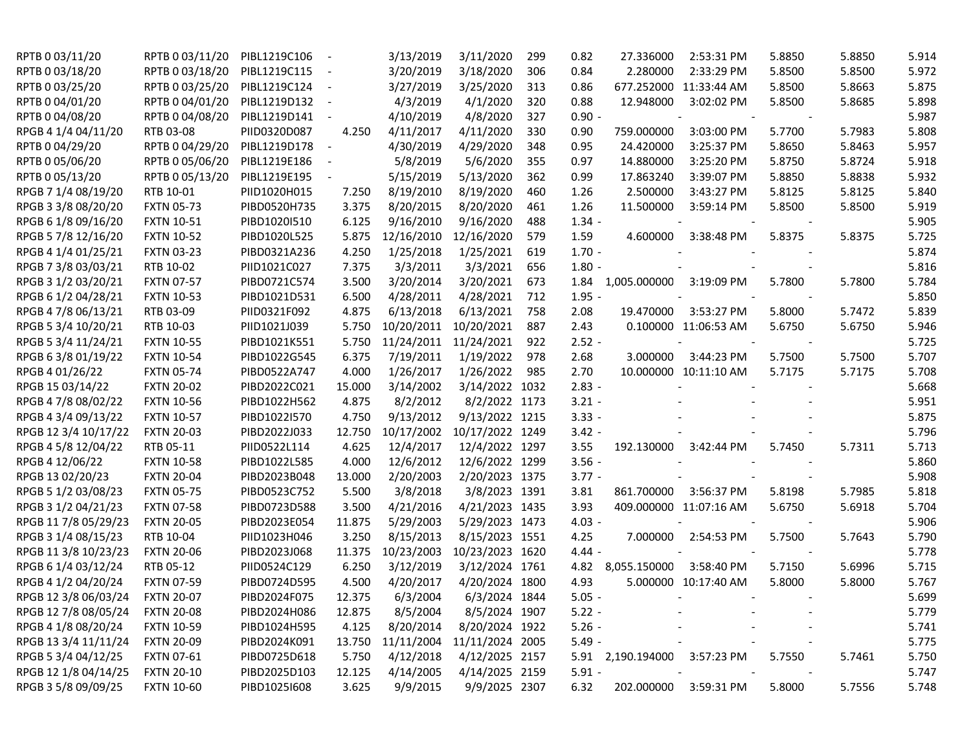| RPTB 0 03/11/20      | RPTB 0 03/11/20   | PIBL1219C106 |            | 3/13/2019  | 3/11/2020       | 299 | 0.82     | 27.336000                    | 2:53:31 PM             | 5.8850 | 5.8850 | 5.914 |
|----------------------|-------------------|--------------|------------|------------|-----------------|-----|----------|------------------------------|------------------------|--------|--------|-------|
| RPTB 0 03/18/20      | RPTB 0 03/18/20   | PIBL1219C115 | $\sim$ $-$ | 3/20/2019  | 3/18/2020       | 306 | 0.84     | 2.280000                     | 2:33:29 PM             | 5.8500 | 5.8500 | 5.972 |
| RPTB 0 03/25/20      | RPTB 0 03/25/20   | PIBL1219C124 | $\sim$     | 3/27/2019  | 3/25/2020       | 313 | 0.86     |                              | 677.252000 11:33:44 AM | 5.8500 | 5.8663 | 5.875 |
| RPTB 0 04/01/20      | RPTB 0 04/01/20   | PIBL1219D132 | $\sim$ $-$ | 4/3/2019   | 4/1/2020        | 320 | 0.88     | 12.948000                    | 3:02:02 PM             | 5.8500 | 5.8685 | 5.898 |
| RPTB 0 04/08/20      | RPTB 0 04/08/20   | PIBL1219D141 | $\sim$ $-$ | 4/10/2019  | 4/8/2020        | 327 | $0.90 -$ |                              |                        |        |        | 5.987 |
| RPGB 4 1/4 04/11/20  | RTB 03-08         | PIID0320D087 | 4.250      | 4/11/2017  | 4/11/2020       | 330 | 0.90     | 759.000000                   | 3:03:00 PM             | 5.7700 | 5.7983 | 5.808 |
| RPTB 0 04/29/20      | RPTB 0 04/29/20   | PIBL1219D178 | $\sim$ $-$ | 4/30/2019  | 4/29/2020       | 348 | 0.95     | 24.420000                    | 3:25:37 PM             | 5.8650 | 5.8463 | 5.957 |
| RPTB 0 05/06/20      | RPTB 0 05/06/20   | PIBL1219E186 |            | 5/8/2019   | 5/6/2020        | 355 | 0.97     | 14.880000                    | 3:25:20 PM             | 5.8750 | 5.8724 | 5.918 |
| RPTB 0 05/13/20      | RPTB 0 05/13/20   | PIBL1219E195 |            | 5/15/2019  | 5/13/2020       | 362 | 0.99     | 17.863240                    | 3:39:07 PM             | 5.8850 | 5.8838 | 5.932 |
| RPGB 7 1/4 08/19/20  | RTB 10-01         | PIID1020H015 | 7.250      | 8/19/2010  | 8/19/2020       | 460 | 1.26     | 2.500000                     | 3:43:27 PM             | 5.8125 | 5.8125 | 5.840 |
| RPGB 3 3/8 08/20/20  | <b>FXTN 05-73</b> | PIBD0520H735 | 3.375      | 8/20/2015  | 8/20/2020       | 461 | 1.26     | 11.500000                    | 3:59:14 PM             | 5.8500 | 5.8500 | 5.919 |
| RPGB 6 1/8 09/16/20  | <b>FXTN 10-51</b> | PIBD1020I510 | 6.125      | 9/16/2010  | 9/16/2020       | 488 | $1.34 -$ |                              |                        |        |        | 5.905 |
| RPGB 5 7/8 12/16/20  | <b>FXTN 10-52</b> | PIBD1020L525 | 5.875      | 12/16/2010 | 12/16/2020      | 579 | 1.59     | 4.600000                     | 3:38:48 PM             | 5.8375 | 5.8375 | 5.725 |
| RPGB 4 1/4 01/25/21  | <b>FXTN 03-23</b> | PIBD0321A236 | 4.250      | 1/25/2018  | 1/25/2021       | 619 | $1.70 -$ |                              |                        |        |        | 5.874 |
| RPGB 7 3/8 03/03/21  | RTB 10-02         | PIID1021C027 | 7.375      | 3/3/2011   | 3/3/2021        | 656 | $1.80 -$ |                              |                        |        |        | 5.816 |
| RPGB 3 1/2 03/20/21  | <b>FXTN 07-57</b> | PIBD0721C574 | 3.500      | 3/20/2014  | 3/20/2021       | 673 | 1.84     | 1,005.000000                 | 3:19:09 PM             | 5.7800 | 5.7800 | 5.784 |
| RPGB 6 1/2 04/28/21  | <b>FXTN 10-53</b> | PIBD1021D531 | 6.500      | 4/28/2011  | 4/28/2021       | 712 | $1.95 -$ |                              |                        |        |        | 5.850 |
| RPGB 4 7/8 06/13/21  | RTB 03-09         | PIID0321F092 | 4.875      | 6/13/2018  | 6/13/2021       | 758 | 2.08     | 19.470000                    | 3:53:27 PM             | 5.8000 | 5.7472 | 5.839 |
| RPGB 5 3/4 10/20/21  | RTB 10-03         | PIID1021J039 | 5.750      | 10/20/2011 | 10/20/2021      | 887 | 2.43     |                              | 0.100000 11:06:53 AM   | 5.6750 | 5.6750 | 5.946 |
| RPGB 5 3/4 11/24/21  | <b>FXTN 10-55</b> | PIBD1021K551 | 5.750      | 11/24/2011 | 11/24/2021      | 922 | $2.52 -$ |                              |                        |        |        | 5.725 |
| RPGB 63/801/19/22    | <b>FXTN 10-54</b> | PIBD1022G545 | 6.375      | 7/19/2011  | 1/19/2022       | 978 | 2.68     | 3.000000                     | 3:44:23 PM             | 5.7500 | 5.7500 | 5.707 |
| RPGB 4 01/26/22      | <b>FXTN 05-74</b> | PIBD0522A747 | 4.000      | 1/26/2017  | 1/26/2022       | 985 | 2.70     |                              | 10.000000 10:11:10 AM  | 5.7175 | 5.7175 | 5.708 |
| RPGB 15 03/14/22     | <b>FXTN 20-02</b> | PIBD2022C021 | 15.000     | 3/14/2002  | 3/14/2022 1032  |     | $2.83 -$ |                              |                        |        |        | 5.668 |
| RPGB 4 7/8 08/02/22  | <b>FXTN 10-56</b> | PIBD1022H562 | 4.875      | 8/2/2012   | 8/2/2022 1173   |     | $3.21 -$ |                              |                        |        |        | 5.951 |
| RPGB 4 3/4 09/13/22  | <b>FXTN 10-57</b> | PIBD1022I570 | 4.750      | 9/13/2012  | 9/13/2022 1215  |     | $3.33 -$ |                              |                        |        |        | 5.875 |
| RPGB 12 3/4 10/17/22 | <b>FXTN 20-03</b> | PIBD2022J033 | 12.750     | 10/17/2002 | 10/17/2022 1249 |     | $3.42 -$ |                              |                        |        |        | 5.796 |
| RPGB 4 5/8 12/04/22  | RTB 05-11         | PIID0522L114 | 4.625      | 12/4/2017  | 12/4/2022 1297  |     | 3.55     | 192.130000                   | 3:42:44 PM             | 5.7450 | 5.7311 | 5.713 |
| RPGB 4 12/06/22      | <b>FXTN 10-58</b> | PIBD1022L585 | 4.000      | 12/6/2012  | 12/6/2022 1299  |     | $3.56 -$ |                              |                        |        |        | 5.860 |
| RPGB 13 02/20/23     | <b>FXTN 20-04</b> | PIBD2023B048 | 13.000     | 2/20/2003  | 2/20/2023 1375  |     | $3.77 -$ |                              |                        |        |        | 5.908 |
| RPGB 5 1/2 03/08/23  | <b>FXTN 05-75</b> | PIBD0523C752 | 5.500      | 3/8/2018   | 3/8/2023 1391   |     | 3.81     | 861.700000                   | 3:56:37 PM             | 5.8198 | 5.7985 | 5.818 |
| RPGB 3 1/2 04/21/23  | <b>FXTN 07-58</b> | PIBD0723D588 | 3.500      | 4/21/2016  | 4/21/2023 1435  |     | 3.93     |                              | 409.000000 11:07:16 AM | 5.6750 | 5.6918 | 5.704 |
| RPGB 11 7/8 05/29/23 | <b>FXTN 20-05</b> | PIBD2023E054 | 11.875     | 5/29/2003  | 5/29/2023 1473  |     | $4.03 -$ |                              |                        |        |        | 5.906 |
| RPGB 3 1/4 08/15/23  | RTB 10-04         | PIID1023H046 | 3.250      | 8/15/2013  | 8/15/2023 1551  |     | 4.25     | 7.000000                     | 2:54:53 PM             | 5.7500 | 5.7643 | 5.790 |
| RPGB 11 3/8 10/23/23 | <b>FXTN 20-06</b> | PIBD2023J068 | 11.375     | 10/23/2003 | 10/23/2023 1620 |     | $4.44 -$ |                              |                        |        |        | 5.778 |
| RPGB 6 1/4 03/12/24  | RTB 05-12         | PIID0524C129 | 6.250      | 3/12/2019  | 3/12/2024 1761  |     | 4.82     | 8,055.150000                 | 3:58:40 PM             | 5.7150 | 5.6996 | 5.715 |
| RPGB 4 1/2 04/20/24  | <b>FXTN 07-59</b> | PIBD0724D595 | 4.500      | 4/20/2017  | 4/20/2024 1800  |     | 4.93     |                              | 5.000000 10:17:40 AM   | 5.8000 | 5.8000 | 5.767 |
| RPGB 12 3/8 06/03/24 | <b>FXTN 20-07</b> | PIBD2024F075 | 12.375     | 6/3/2004   | 6/3/2024 1844   |     | $5.05 -$ |                              |                        |        |        | 5.699 |
| RPGB 12 7/8 08/05/24 | <b>FXTN 20-08</b> | PIBD2024H086 | 12.875     | 8/5/2004   | 8/5/2024 1907   |     | $5.22 -$ |                              |                        |        |        | 5.779 |
| RPGB 4 1/8 08/20/24  | <b>FXTN 10-59</b> | PIBD1024H595 | 4.125      | 8/20/2014  | 8/20/2024 1922  |     | $5.26 -$ |                              |                        |        |        | 5.741 |
| RPGB 13 3/4 11/11/24 | <b>FXTN 20-09</b> | PIBD2024K091 | 13.750     | 11/11/2004 | 11/11/2024 2005 |     | $5.49 -$ |                              |                        |        |        | 5.775 |
| RPGB 5 3/4 04/12/25  | <b>FXTN 07-61</b> | PIBD0725D618 | 5.750      | 4/12/2018  | 4/12/2025 2157  |     |          | 5.91 2,190.194000 3:57:23 PM |                        | 5.7550 | 5.7461 | 5.750 |
| RPGB 12 1/8 04/14/25 | <b>FXTN 20-10</b> | PIBD2025D103 | 12.125     | 4/14/2005  | 4/14/2025 2159  |     | $5.91 -$ |                              |                        |        |        | 5.747 |
| RPGB 3 5/8 09/09/25  | <b>FXTN 10-60</b> | PIBD1025I608 | 3.625      | 9/9/2015   | 9/9/2025 2307   |     | 6.32     |                              | 202.000000 3:59:31 PM  | 5.8000 | 5.7556 | 5.748 |
|                      |                   |              |            |            |                 |     |          |                              |                        |        |        |       |